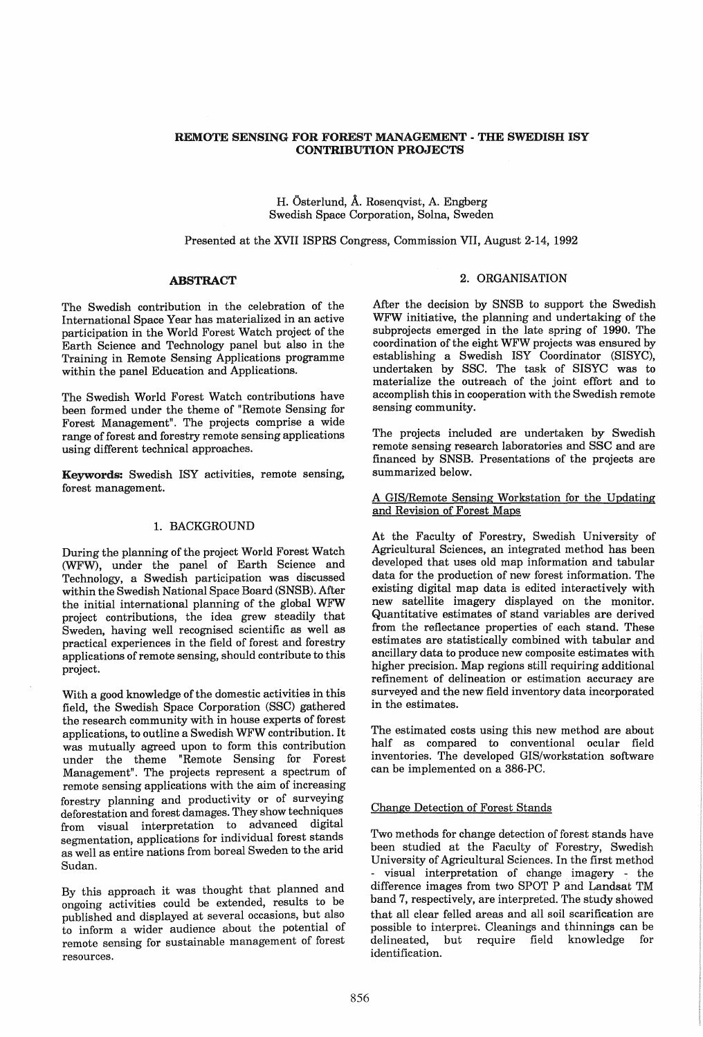#### REMOTE SENSING FOR FOREST MANAGEMENT - THE SWEDISH ISY CONTRIBUTION PROJECTS

#### H. Osterlund, A. Rosenqvist, A. Engberg Swedish Space Corporation, Solna, Sweden

Presented at the XVII ISPRS Congress, Commission VII, August 2-14, 1992

#### ABSTRACT

The Swedish contribution in the celebration of the International Space Year has materialized in an active participation in the World Forest Watch project of the Earth Science and Technology panel but also in the Training in Remote Sensing Applications programme within the panel Education and Applications.

The Swedish World Forest Watch contributions have been formed under the theme of "Remote Sensing for Forest Management". The projects comprise a wide range of forest and forestry remote sensing applications using different technical approaches.

Keywords: Swedish ISY activities, remote sensing, forest management.

## 1. BACKGROUND

During the planning of the project World Forest Watch (WFW), under the panel of Earth Science and Technology, a Swedish participation was discussed within the Swedish National Space Board (SNSB). After the initial international planning of the global WFW project contributions, the idea grew steadily that Sweden, having well recognised scientific as well as practical experiences in the field of forest and forestry applications of remote sensing, should contribute to this project.

With a good knowledge of the domestic activities in this field, the Swedish Space Corporation (SSC) gathered the research community with in house experts of forest applications, to outline a Swedish WFW contribution. It was mutually agreed upon to form this contribution under the theme "Remote Sensing for Forest Management". The projects represent a spectrum of remote sensing applications with the aim of increasing forestry planning and productivity or of surveying deforestation and forest damages. They show techniques from visual interpretation to advanced digital segmentation, applications for individual forest stands as well as entire nations from boreal Sweden to the arid Sudan.

By this approach it was thought that planned and ongoing activities could be extended, results to be published and displayed at several occasions, but also to inform a wider audience about the potential of remote sensing for sustainable management of forest resources.

# 2. ORGANISATION

After the decision by SNSB to support the Swedish WFW initiative, the planning and undertaking of the subprojects emerged in the late spring of 1990. The coordination of the eight WFW projects was ensured by establishing a Swedish ISY Coordinator (SISYC), undertaken by SSC. The task of SISYC was to materialize the outreach of the joint effort and to accomplish this in cooperation with the Swedish remote sensing community.

The projects included are undertaken by Swedish remote sensing research laboratories and SSC and are financed by SNSB. Presentations of the projects are summarized below.

A GIS/Remote Sensing Workstation for the Updating and Revision of Forest Maps

At the Faculty of Forestry, Swedish University of Agricultural Sciences, an integrated method has been developed that uses old map information and tabular data for the production of new forest information. The existing digital map data is edited interactively with new satellite imagery displayed on the monitor. Quantitative estimates of stand variables are derived from the reflectance properties of each stand. These estimates are statistically combined with tabular and ancillary data to produce new composite estimates with higher precision. Map regions still requiring additional refinement of delineation or estimation accuracy are surveyed and the new field inventory data incorporated in the estimates.

The estimated costs using this new method are about half as compared to conventional ocular field inventories. The developed GIS/workstation software can be implemented on a 386-PC.

#### Change Detection of Forest Stands

Two methods for change detection of forest stands have been studied at the Faculty of Forestry, Swedish University of Agricultural Sciences. In the first method visual interpretation of change imagery - the difference images from two SPOT P and Landsat TM band 7, respectively, are interpreted. The study showed that all clear felled areas and all soil scarification are possible to interpret;. Cleanings and thinnings can be delineated, but require field knowledge for identification.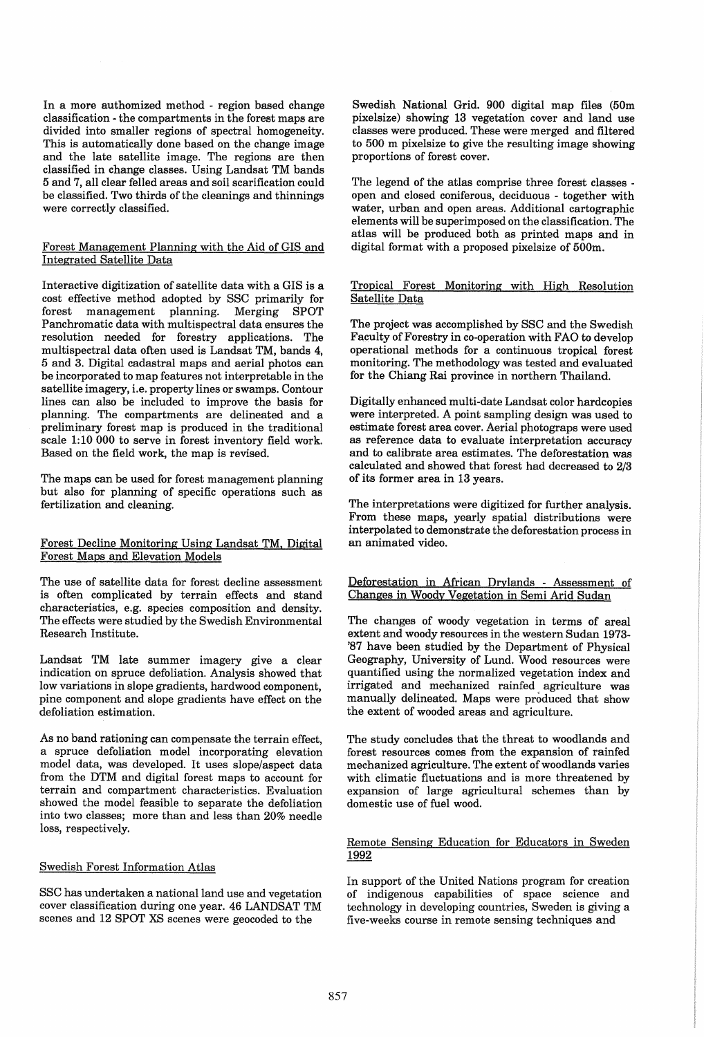In a more authomized method - region based change classification - the compartments in the forest maps are divided into smaller regions of spectral homogeneity. This is automatically done based on the change image and the late satellite image. The regions are then classified in change classes. Using Landsat TM bands 5 and 7, all clear felled areas and soil scarification could be classified. Two thirds of the cleanings and thinnings were correctly classified.

## Forest Management Planning with the Aid of GIS and Integrated Satellite Data

Interactive digitization of satellite data with a GIS is a cost effective method adopted by SSC primarily for management planning. Panchromatic data with multispectral data ensures the resolution needed for forestry applications. The multispectral data often used is Landsat TM, bands 4, 5 and 3. Digital cadastral maps and aerial photos can be incorporated to map features not interpretable in the satellite imagery, i.e. property lines or swamps. Contour lines can also be included to improve the basis for planning. The compartments are delineated and a preliminary forest map is produced in the traditional scale 1:10 000 to serve in forest inventory field work. Based on the field work, the map is revised.

The maps can be used for forest management planning but also for planning of specific operations such as fertilization and cleaning.

#### Forest Decline Monitoring Using Landsat TM. Digital Forest Maps and Elevation Models

The use of satellite data for forest decline assessment is often complicated by terrain effects and stand characteristics, e.g. species composition and density. The effects were studied by the Swedish Environmental Research Institute.

Landsat TM late summer imagery give a clear indication on spruce defoliation. Analysis showed that low variations in slope gradients, hardwood component, pine component and slope gradients have effect on the defoliation estimation.

As no band rationing can compensate the terrain effect, a spruce defoliation model incorporating elevation model data, was developed. It uses slope/aspect data from the DTM and digital forest maps to account for terrain and compartment characteristics. Evaluation showed the model feasible to separate the defoliation into two classes; more than and less than 20% needle loss, respectively.

#### Swedish Forest Information Atlas

SSC has undertaken a national land use and vegetation cover classification during one year. 46 LANDSAT TM scenes and 12 SPOT XS scenes were geocoded to the

Swedish National Grid. 900 digital map files (50m pixelsize) showing 13 vegetation cover and land use classes were produced. These were merged and filtered to 500 m pixelsize to give the resulting image showing proportions of forest cover.

The legend of the atlas comprise three forest classes open and closed coniferous, deciduous - together with water, urban and open areas. Additional cartographic elements will be superimposed on the classification. The atlas will be produced both as printed maps and in digital format with a proposed pixelsize of 500m.

#### Tropical Forest Monitoring with High Resolution Satellite Data

The project was accomplished by SSC and the Swedish Faculty of Forestry in co-operation with FAO to develop operational methods for a continuous tropical forest monitoring. The methodology was tested and evaluated for the Chiang Rai province in northern Thailand.

Digitally enhanced multi-date Landsat color hardcopies were interpreted. A point sampling design was used to estimate forest area cover. Aerial photograps were used as reference data to evaluate interpretation accuracy and to calibrate area estimates. The deforestation was calculated and showed that forest had decreased to 2/3 of its former area in 13 years.

The interpretations were digitized for further analysis. From these maps, yearly spatial distributions were interpolated to demonstrate the deforestation process in an animated video.

## Deforestation in African Drylands - Assessment of Changes in Woody Vegetation in Semi Arid Sudan

The changes of woody vegetation in terms of areal extent and woody resources in the western Sudan 1973- '87 have been studied by the Department of Physical Geography, University of Lund. Wood resources were quantified using the normalized vegetation index and irrigated and mechanized rainfed. agriculture was manually delineated. Maps were produced that show the extent of wooded areas and agriculture.

The study concludes that the threat to woodlands and forest resources comes from the expansion of rainfed mechanized agriculture. The extent of woodlands varies with climatic fluctuations and is more threatened by expansion of large agricultural schemes than by domestic use of fuel wood.

#### Remote Sensing Education for Educators in Sweden 1992

In support of the United Nations program for creation of indigenous capabilities of space science and technology in developing countries, Sweden is giving a five-weeks course in remote sensing techniques and